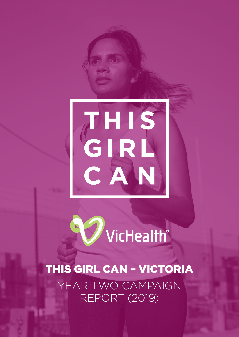



THIS GIRL CAN – VICTORIA YEAR TWO CAMPAIGN REPORT (2019)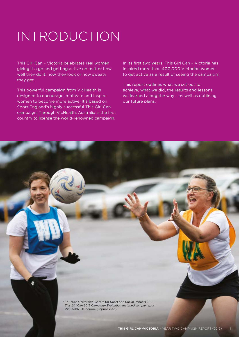# INTRODUCTION

This Girl Can – Victoria celebrates real women giving it a go and getting active no matter how well they do it, how they look or how sweaty they get.

This powerful campaign from VicHealth is designed to encourage, motivate and inspire women to become more active. It's based on Sport England's highly successful This Girl Can campaign. Through VicHealth, Australia is the first country to license the world-renowned campaign.

In its first two years, This Girl Can – Victoria has inspired more than 400,000 Victorian women to get active as a result of seeing the campaign<sup>1</sup>.

This report outlines what we set out to achieve, what we did, the results and lessons we learned along the way – as well as outlining our future plans.

<sup>1</sup> La Trobe University (Centre for Sport and Social Impact) 2019, *This Girl Can 2019 Campaign Evaluation matched sample report*, VicHealth, Melbourne (unpublished).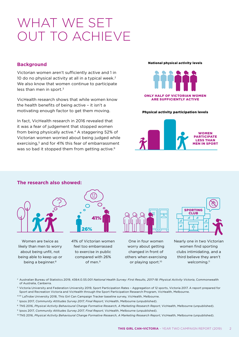### WHAT WE SET OUT TO ACHIEVE

#### **Background**

Victorian women aren't sufficiently active and 1 in 10 do no physical activity at all in a typical week.<sup>2</sup> We also know that women continue to participate less than men in sport. $3$ 

VicHealth research shows that while women know the health benefits of being active – it isn't a motivating enough factor to get them moving.

In fact, VicHealth research in 2016 revealed that it was a fear of judgement that stopped women from being physically active.<sup>4</sup> A staggering 52% of Victorian women worried about being judged while exercising.<sup>5</sup> and for 41% this fear of embarrassment was so bad it stopped them from getting active.<sup>6</sup>

#### National physical activity levels



#### Physical activity participation levels





Women are twice as likely than men to worry about being unfit, not being able to keep up or being a beginner.<sup>8</sup>



41% of Victorian women feel too embarrassed to exercise in public compared with 26% of men $9$ 



One in four women worry about getting changed in front of others when exercising or playing sport.<sup>10</sup>



Nearly one in two Victorian women find sporting clubs intimidating, and a third believe they aren't welcoming.11

- 2 Australian Bureau of Statistics 2019, 4364.0.55.001 *National Health Survey: First Results, 2017-18: Physical Activity Victoria*, Commonwealth of Australia, Canberra.
- 3 Victoria University and Federation University 2019, Sport Participation Rates Aggregation of 12 sports, Victoria 2017. A report prepared for Sport and Recreation Victoria and VicHealth through the Sport Participation Research Program, VicHealth, Melbourne.
- 4,5,6 LaTrobe University 2018, This Girl Can Campaign Tracker baseline survey, VicHealth, Melbourne.
- <sup>7</sup> Ipsos 2017, *Community Attitudes Survey 2017, Final Report*, VicHealth, Melbourne (unpublished).
- <sup>8</sup> TNS 2016, *Physical Activity Behavioural Change Formative Research, A Marketing Research Report*, VicHealth, Melbourne (unpublished).
- <sup>9</sup> Ipsos 2017, *Community Attitudes Survey 2017, Final Report*, VicHealth, Melbourne (unpublished).
- <sup>10</sup> TNS 2016, *Physical Activity Behavioural Change Formative Research, A Marketing Research Report*, VicHealth, Melbourne (unpublished).

#### **The research also showed:**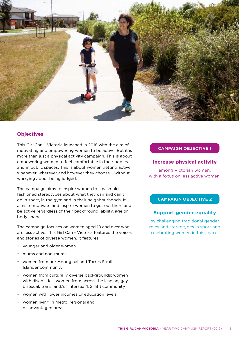

#### **Objectives**

This Girl Can – Victoria launched in 2018 with the aim of motivating and empowering women to be active. But it is more than just a physical activity campaign. This is about empowering women to feel comfortable in their bodies and in public spaces. This is about women getting active whenever, wherever and however they choose – without worrying about being judged.

The campaign aims to inspire women to smash oldfashioned stereotypes about what they can and can't do in sport, in the gym and in their neighbourhoods. It aims to motivate and inspire women to get out there and be active regardless of their background, ability, age or body shape.

The campaign focuses on women aged 18 and over who are less active. This Girl Can - Victoria features the voices and stories of diverse women. It features:

- younger and older women
- mums and non-mums
- women from our Aboriginal and Torres Strait Islander community
- women from culturally diverse backgrounds; women with disabilities; women from across the lesbian, gay, bisexual, trans, and/or intersex (LGTBI) community
- women with lower incomes or education levels
- women living in metro, regional and disadvantaged areas.

#### **CAMPAIGN OBJECTIVE 1**

#### **Increase physical activity**

among Victorian women, with a focus on less active women.

#### **CAMPAIGN OBJECTIVE 2**

#### **Support gender equality**

by challenging traditional gender roles and stereotypes in sport and celebrating women in this space.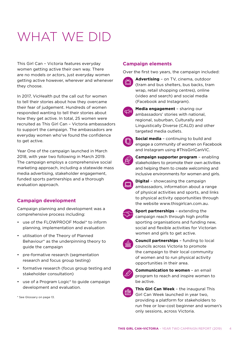# WHAT WE DID

This Girl Can – Victoria features everyday women getting active their own way. There are no models or actors, just everyday women getting active however, wherever and whenever they choose.

In 2017, VicHealth put the call out for women to tell their stories about how they overcame their fear of judgement. Hundreds of women responded wanting to tell their stories about how they get active. In total, 25 women were recruited as This Girl Can – Victoria ambassadors to support the campaign. The ambassadors are everyday women who've found the confidence to get active.

Year One of the campaign launched in March 2018, with year two following in March 2019. The campaign employs a comprehensive social marketing approach, including a statewide mass media advertising, stakeholder engagement, funded sports partnerships and a thorough evaluation approach.

### **Campaign development**

Campaign planning and development was a comprehensive process including:

- use of the FLOWPROOF Model\* to inform planning, implementation and evaluation
- utilisation of the Theory of Planned Behaviour\* as the underpinning theory to guide the campaign
- pre-formative research (segmentation research and focus group testing)
- formative research (focus group testing and stakeholder consultation)
- use of a Program Logic\* to guide campaign development and evaluation.

\* See Glossary on page 13.

#### **Campaign elements**

Over the first two years, the campaign included:



**Advertising** – on TV, cinema, outdoor (tram and bus shelters, bus backs, tram wrap, retail shopping centres), online (video and search) and social media (Facebook and Instagram).

**Media engagement** – sharing our ambassadors' stories with national, regional, suburban, Culturally and Linguistically Diverse (CALD) and other targeted media outlets.



**Social media** – continuing to build and engage a community of women on Facebook and Instagram using #ThisGirlCanVIC.



**Campaign supporter program** – enabling stakeholders to promote their own activities and helping them to create welcoming and inclusive environments for women and girls.



**Digital** – showcasing the campaign ambassadors, information about a range of physical activities and sports, and links to physical activity opportunities through the website [www.thisgirlcan.com.au.](http://www.thisgirlcan.com.au/)

**Sport partnerships** – extending the campaign reach through high profile sporting organisations and funding new, social and flexible activities for Victorian women and girls to get active.



**Council partnerships** – funding to local councils across Victoria to promote the campaign to their local community of women and to run physical activity opportunities in their area.



**Communication to women** – an email program to reach and inspire women to be active.



**This Girl Can Week** – the inaugural This Girl Can Week launched in year two, providing a platform for stakeholders to run free or low-cost beginner and women's only sessions, across Victoria.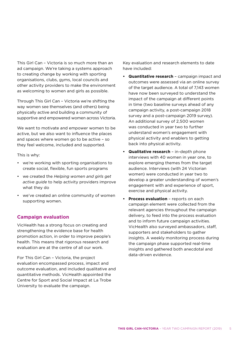This Girl Can – Victoria is so much more than an ad campaign. We're taking a systems approach to creating change by working with sporting organisations, clubs, gyms, local councils and other activity providers to make the environment as welcoming to women and girls as possible.

Through This Girl Can – Victoria we're shifting the way women see themselves (and others) being physically active and building a community of supportive and empowered women across Victoria.

We want to motivate and empower women to be active, but we also want to influence the places and spaces where women go to be active – so they feel welcome, included and supported.

This is why:

- we're working with sporting organisations to create social, flexible, fun sports programs
- we created the *Helping women and girls get active guide* to help activity providers improve what they do
- we've created an online community of women supporting women.

#### **Campaign evaluation**

VicHealth has a strong focus on creating and strengthening the evidence base for health promotion action, in order to improve people's health. This means that rigorous research and evaluation are at the centre of all our work.

For This Girl Can – Victoria, the project evaluation encompassed process, impact and outcome evaluation, and included qualitative and quantitative methods. VicHealth appointed the Centre for Sport and Social Impact at La Trobe University to evaluate the campaign.

Key evaluation and research elements to date have included:

- **• Quantitative research** campaign impact and outcomes were assessed via an online survey of the target audience. A total of 7,143 women have now been surveyed to understand the impact of the campaign at different points in time (two baseline surveys ahead of any campaign activity, a post-campaign 2018 survey and a post-campaign 2019 survey). An additional survey of 2,500 women was conducted in year two to further understand women's engagement with physical activity and enablers to getting back into physical activity.
- **• Qualitative research** in-depth phone interviews with 40 women in year one, to explore emerging themes from the target audience. Interviews (with 24 Victorian women) were conducted in year two to develop a greater understanding of women's engagement with and experience of sport, exercise and physical activity.
- **• Process evaluation** reports on each campaign element were collected from the relevant agencies throughout the campaign delivery, to feed into the process evaluation and to inform future campaign activities. VicHealth also surveyed ambassadors, staff, supporters and stakeholders to gather insights. A weekly monitoring process during the campaign phase supported real-time insights and gathered both anecdotal and data-driven evidence.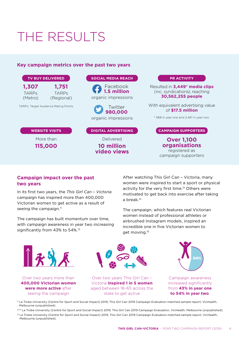## THE RESULTS

#### **Key campaign metrics over the past two years**



#### **Campaign impact over the past two years**

seeing the campaign

In its first two years, the *This Girl Can – Victoria* campaign has inspired more than 400,000 Victorian women to get active as a result of seeing the campaign. $<sup>11</sup>$ </sup>

The campaign has built momentum over time, with campaign awareness in year two increasing significantly from 43% to 54%.12

After watching This Girl Can – Victoria, many women were inspired to start a sport or physical activity for the very first time.<sup>13</sup> Others were motivated to get back into exercise after taking a break.14

The campaign, which features real Victorian women instead of professional athletes or airbrushed Instagram models, inspired an incredible one in five Victorian women to get moving.15



aged between 18-65 across the state to get active



Campaign awareness increased significantly from **43% in year one to 54% in year two**.

<sup>11</sup> La Trobe University (Centre for Sport and Social Impact) 2019, This Girl Can 2019 Campaign Evaluation matched sample report, VicHealth, Melbourne (unpublished).

<sup>12-14</sup> La Trobe University (Centre for Sport and Social Impact) 2019, This Girl Can 2019 Campaign Evaluation, VicHealth, Melbourne (unpublished).

<sup>15</sup> La Trobe University (Centre for Sport and Social Impact) 2019, This Girl Can 2019 Campaign Evaluation matched sample report, VicHealth, Melbourne (unpublished).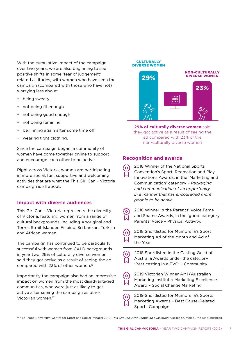With the cumulative impact of the campaign over two years, we are also beginning to see positive shifts in some 'fear of judgement' related attitudes, with women who have seen the campaign (compared with those who have not) worrying less about:

- being sweaty
- not being fit enough
- not being good enough
- not being feminine
- beginning again after some time off
- wearing tight clothing.

Since the campaign began, a community of women have come together online to support and encourage each other to be active.

Right across Victoria, women are participating in more social, fun, supportive and welcoming activities that are what the This Girl Can – Victoria campaign is all about.

#### **Impact with diverse audiences**

This Girl Can – Victoria represents the diversity of Victoria, featuring women from a range of cultural backgrounds, including Aboriginal and Torres Strait Islander, Filipino, Sri Lankan, Turkish and African women.

The campaign has continued to be particularly successful with women from CALD backgrounds – in year two, 29% of culturally diverse women said they got active as a result of seeing the ad compared with 23% of other women.16

Importantly the campaign also had an impressive impact on women from the most disadvantaged communities, who were just as likely to get active after seeing the campaign as other Victorian women.17

### NON-CULTURALLY DIVERSE WOMEN DIVERSE WOMEN 29% 23%

**29% of culturally diverse women** said they got active as a result of seeing the ad compared with 23% of the non-culturally diverse women

#### **Recognition and awards**

**CULTURALLY** 

- 2018 Winner of the National Sports Convention's Sport, Recreation and Play Innovations Awards, in the 'Marketing and Communication' category – *Packaging and communication of an opportunity in a manner that has encouraged more people to be active*
- 2018 Winner in the Parents' Voice Fame ō and Shame Awards, in the 'good' category Parents' Voice – Physical Activity.
- 2018 Shortlisted for Mumbrella's Sport Marketing Ad of the Month and Ad of the Year
- 2018 Shortlisted in the Casting Guild of  $[{\circ}]$ Australia Awards under the category 'Best casting in a TVC' – Community.
- 2019 Victorian Winner AMI (Australian Marketing Institute) Marketing Excellence Award – Social Change Marketing

2019 Shortlisted for Mumbrella's Sports Marketing Awards – Best Cause-Related Sports Campaign

16-17 La Trobe University (Centre for Sport and Social Impact) 2019, *This Girl Can 2019 Campaign Evaluation*, VicHealth, Melbourne (unpublished).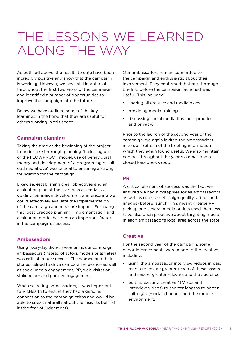### THE LESSONS WE LEARNED ALONG THE WAY

As outlined above, the results to date have been incredibly positive and show that the campaign is working. However, we have still learnt a lot throughout the first two years of the campaign and identified a number of opportunities to improve the campaign into the future.

Below we have outlined some of the key learnings in the hope that they are useful for others working in this space.

#### **Campaign planning**

Taking the time at the beginning of the project to undertake thorough planning (including use of the FLOWPROOF model, use of behavioural theory and development of a program logic – all outlined above) was critical to ensuring a strong foundation for the campaign.

Likewise, establishing clear objectives and an evaluation plan at the start was essential to guiding campaign development and ensuring we could effectively evaluate the implementation of the campaign and measure impact. Following this, best practice planning, implementation and evaluation model has been an important factor in the campaign's success.

#### **Ambassadors**

Using everyday diverse women as our campaign ambassadors (instead of actors, models or athletes) was critical to our success. The women and their stories helped to drive campaign relevance as well as social media engagement, PR, web visitation, stakeholder and partner engagement.

When selecting ambassadors, it was important to VicHealth to ensure they had a genuine connection to the campaign ethos and would be able to speak naturally about the insights behind it (the fear of judgement).

Our ambassadors remain committed to the campaign and enthusiastic about their involvement. They confirmed that our thorough briefing before the campaign launched was useful. This included:

- sharing all creative and media plans
- providing media training
- discussing social media tips, best practice and privacy.

Prior to the launch of the second year of the campaign, we again invited the ambassadors in to do a refresh of the briefing information which they again found useful. We also maintain contact throughout the year via email and a closed Facebook group.

#### **PR**

A critical element of success was the fact we ensured we had biographies for all ambassadors, as well as other assets (high quality videos and images) before launch. This meant greater PR pick up and several media outlets used them. We have also been proactive about targeting media in each ambassador's local area across the state.

#### **Creative**

For the second year of the campaign, some minor improvements were made to the creative, including:

- using the ambassador interview videos in paid media to ensure greater reach of these assets and ensure greater relevance to the audience
- editing existing creative (TV ads and interview videos) to shorter lengths to better suit digital/social channels and the mobile environment.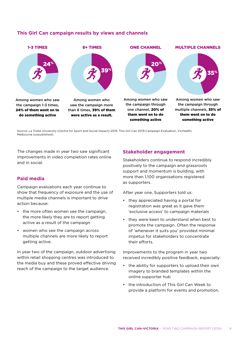

#### **This Girl Can campaign results by views and channels**

Source: La Trobe University (Centre for Sport and Social Impact) 2019, This Girl Can 2019 Campaign Evaluation, VicHealth, Melbourne (unpublished).

The changes made in year two saw significant improvements in video completion rates online and in social.

#### **Paid media**

Campaign evaluations each year continue to show that frequency of exposure and the use of multiple media channels is important to drive action because:

- the more often women see the campaign, the more likely they are to report getting active as a result of the campaign
- women who see the campaign across multiple channels are more likely to report getting active.

In year two of the campaign, outdoor advertising within retail shopping centres was introduced to the media buy and these proved effective driving reach of the campaign to the target audience.

#### **Stakeholder engagement**

Stakeholders continue to respond incredibly positively to the campaign and grassroots support and momentum is building, with more than 1,100 organisations registered as supporters.

After year one, Supporters told us:

- they appreciated having a portal for registration was great as it gave them 'exclusive access' to campaign materials
- they were keen to understand when best to promote the campaign. Often the response of 'whenever it suits you' provided minimal impetus for stakeholders to concentrate their efforts.

Improvements to the program in year two received incredibly positive feedback, especially:

- the ability for supporters to upload their own imagery to branded templates within the online supporter hub
- the introduction of This Girl Can Week to provide a platform for events and promotion.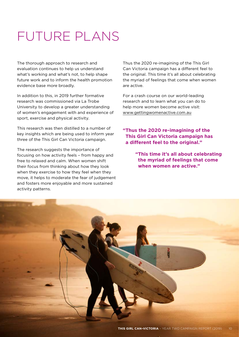# FUTURE PLANS

The thorough approach to research and evaluation continues to help us understand what's working and what's not, to help shape future work and to inform the health promotion evidence base more broadly.

In addition to this, in 2019 further formative research was commissioned via La Trobe University to develop a greater understanding of women's engagement with and experience of sport, exercise and physical activity.

This research was then distilled to a number of key insights which are being used to inform year three of the This Girl Can Victoria campaign.

The research suggests the importance of focusing on how activity feels – from happy and free to relaxed and calm. When women shift their focus from thinking about how they look when they exercise to how they feel when they move, it helps to moderate the fear of judgement and fosters more enjoyable and more sustained activity patterns.

Thus the 2020 re-imagining of the This Girl Can Victoria campaign has a different feel to the original. This time it's all about celebrating the myriad of feelings that come when women are active.

For a crash course on our world-leading research and to learn what you can do to help more women become active visit: [www.gettingwomenactive.com.au](http://www.gettingwomenactive.com.au)

#### **"Thus the 2020 re-imagining of the This Girl Can Victoria campaign has a different feel to the original."**

**"This time it's all about celebrating the myriad of feelings that come when women are active."**

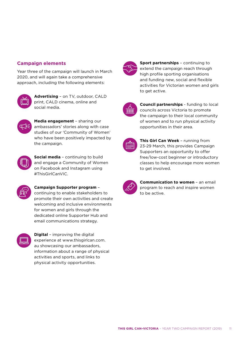#### **Campaign elements**

Year three of the campaign will launch in March 2020, and will again take a comprehensive approach, including the following elements:



**Advertising** – on TV, outdoor, CALD print, CALD cinema, online and social media.



**Media engagement** – sharing our ambassadors' stories along with case studies of our 'Community of Women' who have been positively impacted by the campaign.



**Social media** – continuing to build and engage a Community of Women on Facebook and Instagram using #ThisGirlCanVIC.



**Campaign Supporter program** – continuing to enable stakeholders to promote their own activities and create welcoming and inclusive environments for women and girls through the dedicated online Supporter Hub and email communications strategy.



**Digital** - improving the digital experience at www.thisgirlcan.com. au showcasing our ambassadors, information about a range of physical activities and sports, and links to physical activity opportunities.



**Sport partnerships** – continuing to extend the campaign reach through high profile sporting organisations and funding new, social and flexible activities for Victorian women and girls to get active.



**Council partnerships** - funding to local councils across Victoria to promote the campaign to their local community of women and to run physical activity opportunities in their area.

| :::<br><br>------<br>---- |  |
|---------------------------|--|
|                           |  |

**This Girl Can Week** – running from 23-29 March, this provides Campaign Supporters an opportunity to offer free/low-cost beginner or introductory classes to help encourage more women to get involved.

| $\boldsymbol{Z}$ | ◢ |
|------------------|---|
|                  |   |

**Communication to women** – an email program to reach and inspire women to be active.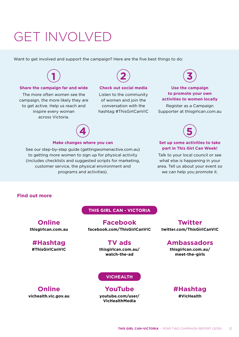### GET INVOLVED

Want to get involved and support the campaign? Here are the five best things to do:



#### **Share the campaign far and wide**

The more often women see the campaign, the more likely they are to get active. Help us reach and inspire every woman across Victoria.



#### **Check out social media**

Listen to the community of women and join the conversation with the hashtag #ThisGirlCanVIC



#### **Use the campaign to promote your own activities to women locally**

Register as a Campaign Supporter at thisgirlcan.com.au



#### **Make changes where you can**

See our step-by-step guide [\(gettingwomenactive.com.au](http://www.gettingwomenactive.com.au)) to getting more women to sign up for physical activity (includes checklists and suggested scripts for marketing, customer service, the physical environment and programs and activities).



#### **Set up some activities to take part in This Girl Can Week!**

Talk to your local council or see what else is happening in your area. Tell us about your event so we can help you promote it.

#### **Find out more**

#### **THIS GIRL CAN - VICTORIA**

**[facebook.com/ThisGirlCanVIC](http://facebook.com/ThisGirlCanVIC) Facebook**

### **TV ads**

**#ThisGirlCanVIC [thisgirlcan.com.au/](https://thisgirlcan.com.au/watch-the-ad/) [watch-the-ad](https://thisgirlcan.com.au/watch-the-ad/)**

#### **VICHEALTH**

**[youtube.com/user/](http://youtube.com/user/VicHealthMedia) [VicHealthMedia](http://youtube.com/user/VicHealthMedia) YouTube**

**[twitter.com/ThisGirlCanVIC](http://twitter.com/ThisGirlCanVIC) Twitter**

### **Ambassadors**

**[thisgirlcan.com.au/](https://thisgirlcan.com.au/meet-the-girls/) [meet-the-girls](https://thisgirlcan.com.au/meet-the-girls/)**

**[vichealth.vic.gov.au](http://vichealth.vic.gov.au) Online**

**[thisgirlcan.com.au](http://thisgirlcan.com.au)**

**#Hashtag**

**Online**

**#VicHealth #Hashtag**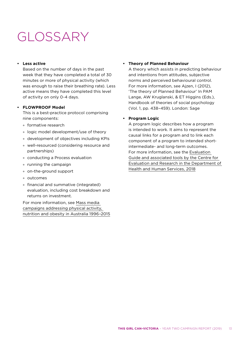### GLOSSARY

#### **• Less active**

Based on the number of days in the past week that they have completed a total of 30 minutes or more of physical activity (which was enough to raise their breathing rate). Less active means they have completed this level of activity on only 0-4 days.

#### **• FLOWPROOF Model**

This is a best-practice protocol comprising nine components:

- ° formative research
- ° logic model development/use of theory
- ° development of objectives including KPIs
- ° well-resourced (considering resource and partnerships)
- ° conducting a Process evaluation
- ° running the campaign
- ° on-the-ground support
- ° outcomes
- ° financial and summative (integrated) evaluation, including cost breakdown and returns on investment.

For more information, see [Mass media](https://preventioncentre.org.au/wp-content/uploads/2016/08/1606-Mass-media-evidence-review-final.pdf)  [campaigns addressing physical activity,](https://preventioncentre.org.au/wp-content/uploads/2016/08/1606-Mass-media-evidence-review-final.pdf)  [nutrition and obesity in Australia 1996–2015](https://preventioncentre.org.au/wp-content/uploads/2016/08/1606-Mass-media-evidence-review-final.pdf)

#### **• Theory of Planned Behaviour**

A theory which assists in predicting behaviour and intentions from attitudes, subjective norms and perceived behavioural control. For more information, see Ajzen, I (2012), 'The theory of Planned Behaviour' In PAM Lange, AW Kruglanski, & ET Higgins (Eds.), Handbook of theories of social psychology (Vol. 1, pp. 438–459). London: Sage

#### **• Program Logic**

A program logic describes how a program is intended to work. It aims to represent the causal links for a program and to link each component of a program to intended shortintermediate- and long-term outcomes. For more information, see the [Evaluation](https://www.bettercare.vic.gov.au/resources/publications/evaluation-and-research-support)  [Guide and associated tools by the Centre for](https://www.bettercare.vic.gov.au/resources/publications/evaluation-and-research-support)  [Evaluation and Research in the Department of](https://www.bettercare.vic.gov.au/resources/publications/evaluation-and-research-support)  [Health and Human Services, 2018](https://www.bettercare.vic.gov.au/resources/publications/evaluation-and-research-support)